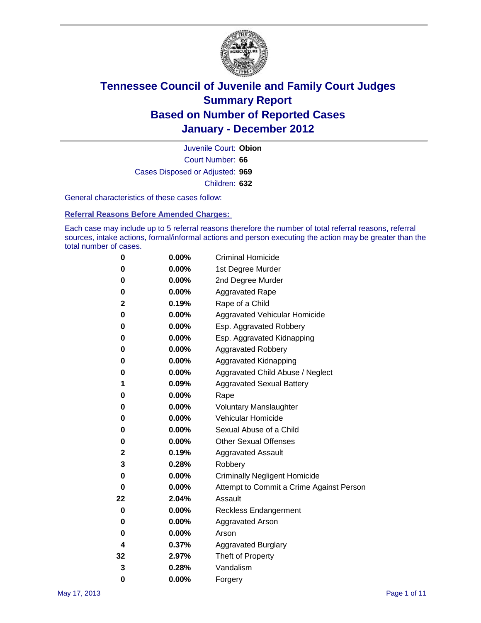

Court Number: **66** Juvenile Court: **Obion** Cases Disposed or Adjusted: **969** Children: **632**

General characteristics of these cases follow:

**Referral Reasons Before Amended Charges:** 

Each case may include up to 5 referral reasons therefore the number of total referral reasons, referral sources, intake actions, formal/informal actions and person executing the action may be greater than the total number of cases.

| 0  | 0.00%    | <b>Criminal Homicide</b>                 |
|----|----------|------------------------------------------|
| 0  | 0.00%    | 1st Degree Murder                        |
| 0  | 0.00%    | 2nd Degree Murder                        |
| 0  | 0.00%    | <b>Aggravated Rape</b>                   |
| 2  | 0.19%    | Rape of a Child                          |
| 0  | 0.00%    | Aggravated Vehicular Homicide            |
| 0  | 0.00%    | Esp. Aggravated Robbery                  |
| 0  | 0.00%    | Esp. Aggravated Kidnapping               |
| 0  | 0.00%    | <b>Aggravated Robbery</b>                |
| 0  | 0.00%    | Aggravated Kidnapping                    |
| 0  | 0.00%    | Aggravated Child Abuse / Neglect         |
| 1  | 0.09%    | <b>Aggravated Sexual Battery</b>         |
| 0  | 0.00%    | Rape                                     |
| 0  | $0.00\%$ | <b>Voluntary Manslaughter</b>            |
| 0  | 0.00%    | Vehicular Homicide                       |
| 0  | 0.00%    | Sexual Abuse of a Child                  |
| 0  | 0.00%    | <b>Other Sexual Offenses</b>             |
| 2  | 0.19%    | <b>Aggravated Assault</b>                |
| 3  | 0.28%    | Robbery                                  |
| 0  | 0.00%    | <b>Criminally Negligent Homicide</b>     |
| 0  | 0.00%    | Attempt to Commit a Crime Against Person |
| 22 | 2.04%    | Assault                                  |
| 0  | 0.00%    | <b>Reckless Endangerment</b>             |
| 0  | 0.00%    | <b>Aggravated Arson</b>                  |
| 0  | 0.00%    | Arson                                    |
| 4  | 0.37%    | <b>Aggravated Burglary</b>               |
| 32 | 2.97%    | Theft of Property                        |
| 3  | 0.28%    | Vandalism                                |
| 0  | 0.00%    | Forgery                                  |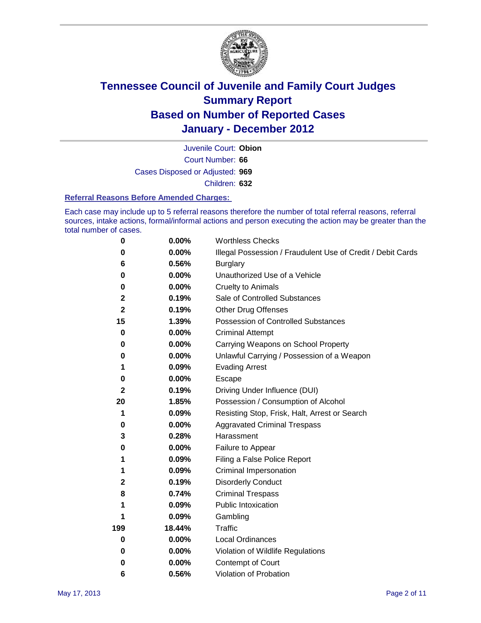

Court Number: **66** Juvenile Court: **Obion** Cases Disposed or Adjusted: **969** Children: **632**

#### **Referral Reasons Before Amended Charges:**

Each case may include up to 5 referral reasons therefore the number of total referral reasons, referral sources, intake actions, formal/informal actions and person executing the action may be greater than the total number of cases.

| $\pmb{0}$    | 0.00%    | <b>Worthless Checks</b>                                     |
|--------------|----------|-------------------------------------------------------------|
| 0            | 0.00%    | Illegal Possession / Fraudulent Use of Credit / Debit Cards |
| 6            | 0.56%    | <b>Burglary</b>                                             |
| $\bf{0}$     | $0.00\%$ | Unauthorized Use of a Vehicle                               |
| 0            | $0.00\%$ | <b>Cruelty to Animals</b>                                   |
| 2            | 0.19%    | Sale of Controlled Substances                               |
| $\mathbf 2$  | 0.19%    | <b>Other Drug Offenses</b>                                  |
| 15           | 1.39%    | Possession of Controlled Substances                         |
| $\mathbf 0$  | $0.00\%$ | <b>Criminal Attempt</b>                                     |
| 0            | 0.00%    | Carrying Weapons on School Property                         |
| 0            | $0.00\%$ | Unlawful Carrying / Possession of a Weapon                  |
| 1            | 0.09%    | <b>Evading Arrest</b>                                       |
| 0            | 0.00%    | Escape                                                      |
| $\mathbf{2}$ | 0.19%    | Driving Under Influence (DUI)                               |
| 20           | 1.85%    | Possession / Consumption of Alcohol                         |
| 1            | 0.09%    | Resisting Stop, Frisk, Halt, Arrest or Search               |
| 0            | $0.00\%$ | <b>Aggravated Criminal Trespass</b>                         |
| 3            | 0.28%    | Harassment                                                  |
| 0            | 0.00%    | Failure to Appear                                           |
| 1            | 0.09%    | Filing a False Police Report                                |
| 1            | 0.09%    | Criminal Impersonation                                      |
| 2            | 0.19%    | <b>Disorderly Conduct</b>                                   |
| 8            | 0.74%    | <b>Criminal Trespass</b>                                    |
| 1            | 0.09%    | Public Intoxication                                         |
|              | 0.09%    | Gambling                                                    |
| 199          | 18.44%   | <b>Traffic</b>                                              |
| 0            | $0.00\%$ | <b>Local Ordinances</b>                                     |
| 0            | 0.00%    | Violation of Wildlife Regulations                           |
| 0            | $0.00\%$ | Contempt of Court                                           |
| 6            | 0.56%    | Violation of Probation                                      |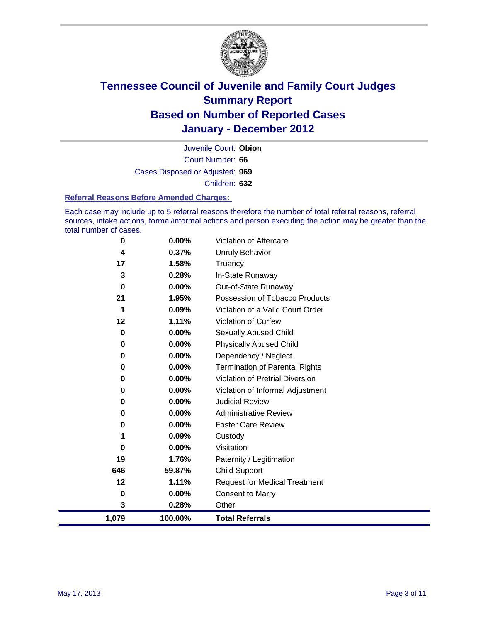

Court Number: **66** Juvenile Court: **Obion** Cases Disposed or Adjusted: **969** Children: **632**

#### **Referral Reasons Before Amended Charges:**

Each case may include up to 5 referral reasons therefore the number of total referral reasons, referral sources, intake actions, formal/informal actions and person executing the action may be greater than the total number of cases.

| 0     | 0.00%    | Violation of Aftercare                 |
|-------|----------|----------------------------------------|
| 4     | 0.37%    | <b>Unruly Behavior</b>                 |
| 17    | 1.58%    | Truancy                                |
| 3     | 0.28%    | In-State Runaway                       |
| 0     | 0.00%    | Out-of-State Runaway                   |
| 21    | 1.95%    | Possession of Tobacco Products         |
| 1     | 0.09%    | Violation of a Valid Court Order       |
| 12    | 1.11%    | <b>Violation of Curfew</b>             |
| 0     | 0.00%    | <b>Sexually Abused Child</b>           |
| 0     | $0.00\%$ | <b>Physically Abused Child</b>         |
| 0     | 0.00%    | Dependency / Neglect                   |
| 0     | $0.00\%$ | <b>Termination of Parental Rights</b>  |
| 0     | 0.00%    | <b>Violation of Pretrial Diversion</b> |
| 0     | $0.00\%$ | Violation of Informal Adjustment       |
| 0     | 0.00%    | <b>Judicial Review</b>                 |
| 0     | $0.00\%$ | <b>Administrative Review</b>           |
| 0     | 0.00%    | <b>Foster Care Review</b>              |
| 1     | 0.09%    | Custody                                |
| 0     | 0.00%    | Visitation                             |
| 19    | 1.76%    | Paternity / Legitimation               |
| 646   | 59.87%   | <b>Child Support</b>                   |
| 12    | 1.11%    | <b>Request for Medical Treatment</b>   |
| 0     | 0.00%    | <b>Consent to Marry</b>                |
| 3     | 0.28%    | Other                                  |
| 1,079 | 100.00%  | <b>Total Referrals</b>                 |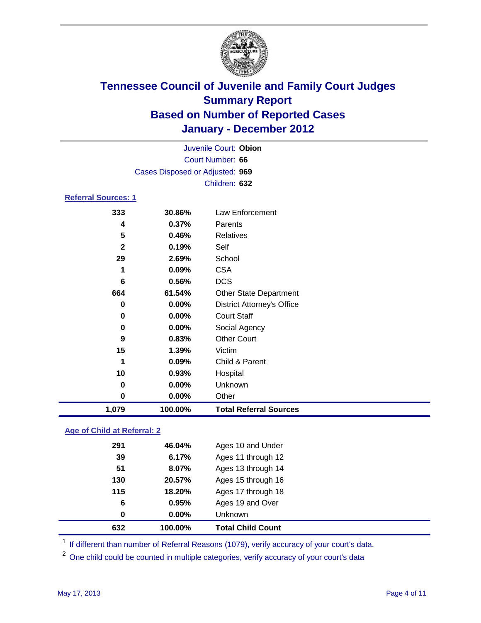

| Juvenile Court: Obion      |                                 |                                   |  |  |  |
|----------------------------|---------------------------------|-----------------------------------|--|--|--|
|                            | Court Number: 66                |                                   |  |  |  |
|                            | Cases Disposed or Adjusted: 969 |                                   |  |  |  |
|                            |                                 | Children: 632                     |  |  |  |
| <b>Referral Sources: 1</b> |                                 |                                   |  |  |  |
| 333                        | 30.86%                          | <b>Law Enforcement</b>            |  |  |  |
| 4                          | 0.37%                           | Parents                           |  |  |  |
| 5                          | 0.46%                           | <b>Relatives</b>                  |  |  |  |
| $\mathbf{2}$               | 0.19%                           | Self                              |  |  |  |
| 29                         | 2.69%                           | School                            |  |  |  |
| 1                          | 0.09%                           | <b>CSA</b>                        |  |  |  |
| 6                          | 0.56%                           | <b>DCS</b>                        |  |  |  |
| 664                        | 61.54%                          | Other State Department            |  |  |  |
| 0                          | 0.00%                           | <b>District Attorney's Office</b> |  |  |  |
| 0                          | 0.00%                           | <b>Court Staff</b>                |  |  |  |
| 0                          | 0.00%                           | Social Agency                     |  |  |  |
| 9                          | 0.83%                           | <b>Other Court</b>                |  |  |  |
| 15                         | 1.39%                           | Victim                            |  |  |  |
| 1                          | 0.09%                           | Child & Parent                    |  |  |  |
| 10                         | 0.93%                           | Hospital                          |  |  |  |
| 0                          | 0.00%                           | Unknown                           |  |  |  |
| 0                          | 0.00%                           | Other                             |  |  |  |
| 1,079                      | 100.00%                         | <b>Total Referral Sources</b>     |  |  |  |
|                            |                                 |                                   |  |  |  |

### **Age of Child at Referral: 2**

| 632 | 100.00% | <b>Total Child Count</b> |
|-----|---------|--------------------------|
| 0   | 0.00%   | <b>Unknown</b>           |
| 6   | 0.95%   | Ages 19 and Over         |
| 115 | 18.20%  | Ages 17 through 18       |
| 130 | 20.57%  | Ages 15 through 16       |
| 51  | 8.07%   | Ages 13 through 14       |
| 39  | 6.17%   | Ages 11 through 12       |
| 291 | 46.04%  | Ages 10 and Under        |
|     |         |                          |

<sup>1</sup> If different than number of Referral Reasons (1079), verify accuracy of your court's data.

<sup>2</sup> One child could be counted in multiple categories, verify accuracy of your court's data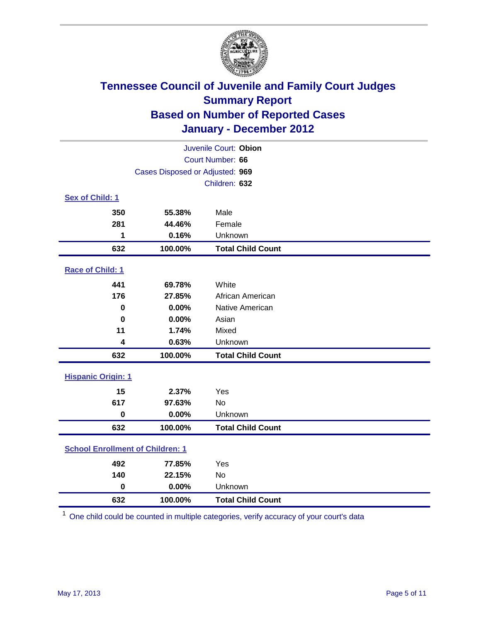

| Juvenile Court: Obion                   |                                 |                          |  |  |
|-----------------------------------------|---------------------------------|--------------------------|--|--|
| Court Number: 66                        |                                 |                          |  |  |
|                                         | Cases Disposed or Adjusted: 969 |                          |  |  |
|                                         |                                 | Children: 632            |  |  |
| Sex of Child: 1                         |                                 |                          |  |  |
| 350                                     | 55.38%                          | Male                     |  |  |
| 281                                     | 44.46%                          | Female                   |  |  |
| 1                                       | 0.16%                           | Unknown                  |  |  |
| 632                                     | 100.00%                         | <b>Total Child Count</b> |  |  |
| Race of Child: 1                        |                                 |                          |  |  |
| 441                                     | 69.78%                          | White                    |  |  |
| 176                                     | 27.85%                          | African American         |  |  |
| $\mathbf 0$                             | 0.00%                           | Native American          |  |  |
| $\bf{0}$                                | 0.00%                           | Asian                    |  |  |
| 11                                      | 1.74%                           | Mixed                    |  |  |
| 4                                       | 0.63%                           | Unknown                  |  |  |
| 632                                     | 100.00%                         | <b>Total Child Count</b> |  |  |
| <b>Hispanic Origin: 1</b>               |                                 |                          |  |  |
| 15                                      | 2.37%                           | Yes                      |  |  |
| 617                                     | 97.63%                          | No                       |  |  |
| $\mathbf 0$                             | 0.00%                           | Unknown                  |  |  |
| 632                                     | 100.00%                         | <b>Total Child Count</b> |  |  |
| <b>School Enrollment of Children: 1</b> |                                 |                          |  |  |
| 492                                     | 77.85%                          | Yes                      |  |  |
| 140                                     | 22.15%                          | No                       |  |  |
| $\mathbf 0$                             | 0.00%                           | Unknown                  |  |  |
| 632                                     | 100.00%                         | <b>Total Child Count</b> |  |  |

One child could be counted in multiple categories, verify accuracy of your court's data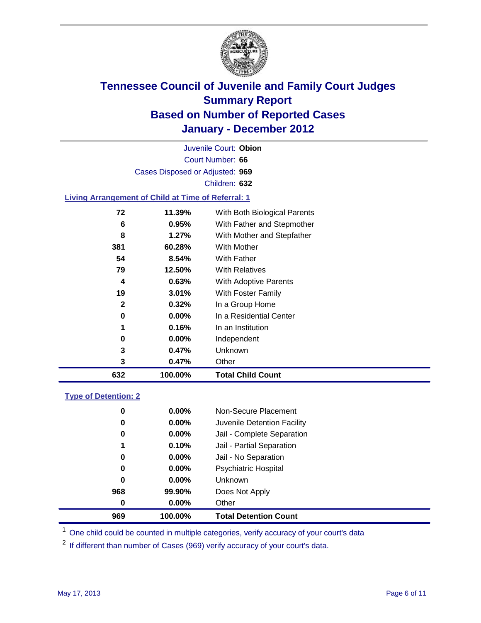

Court Number: **66** Juvenile Court: **Obion** Cases Disposed or Adjusted: **969** Children: **632**

#### **Living Arrangement of Child at Time of Referral: 1**

| 632 | 100.00%  | <b>Total Child Count</b>     |
|-----|----------|------------------------------|
| 3   | 0.47%    | Other                        |
| 3   | 0.47%    | Unknown                      |
| 0   | $0.00\%$ | Independent                  |
| 1   | 0.16%    | In an Institution            |
| 0   | $0.00\%$ | In a Residential Center      |
| 2   | 0.32%    | In a Group Home              |
| 19  | $3.01\%$ | With Foster Family           |
| 4   | 0.63%    | With Adoptive Parents        |
| 79  | 12.50%   | <b>With Relatives</b>        |
| 54  | 8.54%    | <b>With Father</b>           |
| 381 | 60.28%   | With Mother                  |
| 8   | $1.27\%$ | With Mother and Stepfather   |
| 6   | 0.95%    | With Father and Stepmother   |
| 72  | 11.39%   | With Both Biological Parents |

#### **Type of Detention: 2**

| 969 | 100.00%              | <b>Total Detention Count</b> |
|-----|----------------------|------------------------------|
|     | $0.00\%$<br>$\bf{0}$ | Other                        |
| 968 | 99.90%               | Does Not Apply               |
|     | 0<br>$0.00\%$        | <b>Unknown</b>               |
|     | 0<br>$0.00\%$        | <b>Psychiatric Hospital</b>  |
|     | 0.00%<br>0           | Jail - No Separation         |
|     | 0.10%<br>1           | Jail - Partial Separation    |
|     | $0.00\%$<br>0        | Jail - Complete Separation   |
|     | 0.00%<br>0           | Juvenile Detention Facility  |
|     | 0<br>$0.00\%$        | Non-Secure Placement         |
|     |                      |                              |

<sup>1</sup> One child could be counted in multiple categories, verify accuracy of your court's data

<sup>2</sup> If different than number of Cases (969) verify accuracy of your court's data.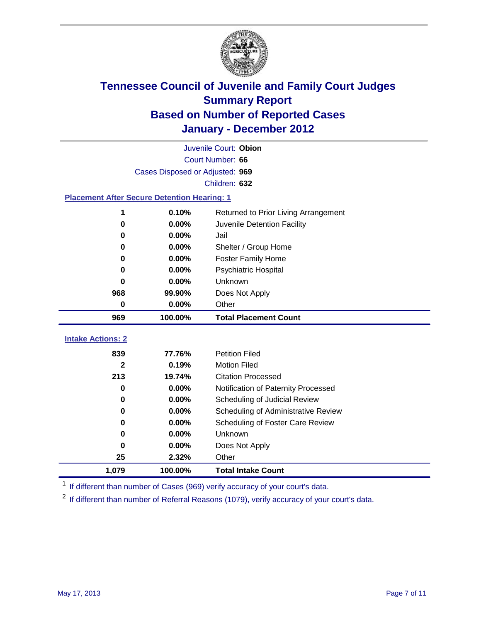

| Juvenile Court: Obion                              |                                               |                                     |  |  |  |
|----------------------------------------------------|-----------------------------------------------|-------------------------------------|--|--|--|
|                                                    | Court Number: 66                              |                                     |  |  |  |
|                                                    | Cases Disposed or Adjusted: 969               |                                     |  |  |  |
|                                                    |                                               | Children: 632                       |  |  |  |
| <b>Placement After Secure Detention Hearing: 1</b> |                                               |                                     |  |  |  |
| 1                                                  | 0.10%<br>Returned to Prior Living Arrangement |                                     |  |  |  |
| 0                                                  | 0.00%                                         | Juvenile Detention Facility         |  |  |  |
| 0                                                  | 0.00%                                         | Jail                                |  |  |  |
| 0                                                  | 0.00%                                         | Shelter / Group Home                |  |  |  |
| 0                                                  | 0.00%                                         | <b>Foster Family Home</b>           |  |  |  |
| Psychiatric Hospital<br>0.00%<br>0                 |                                               |                                     |  |  |  |
| 0.00%<br><b>Unknown</b><br>0                       |                                               |                                     |  |  |  |
| 968                                                | 99.90%                                        | Does Not Apply                      |  |  |  |
| $\bf{0}$                                           | 0.00%                                         | Other                               |  |  |  |
| 969                                                | 100.00%                                       | <b>Total Placement Count</b>        |  |  |  |
| <b>Intake Actions: 2</b>                           |                                               |                                     |  |  |  |
| 839                                                | 77.76%                                        | <b>Petition Filed</b>               |  |  |  |
| $\overline{2}$                                     | 0.19%                                         | <b>Motion Filed</b>                 |  |  |  |
| 213                                                | 19.74%                                        | <b>Citation Processed</b>           |  |  |  |
| 0                                                  | 0.00%                                         | Notification of Paternity Processed |  |  |  |
| 0                                                  | 0.00%                                         | Scheduling of Judicial Review       |  |  |  |
| 0                                                  | 0.00%                                         | Scheduling of Administrative Review |  |  |  |
| 0                                                  | 0.00%                                         | Scheduling of Foster Care Review    |  |  |  |
| 0                                                  | 0.00%                                         | Unknown                             |  |  |  |
| 0                                                  | 0.00%                                         | Does Not Apply                      |  |  |  |
| 25                                                 | 2.32%                                         | Other                               |  |  |  |

**1,079 100.00% Total Intake Count** <sup>1</sup> If different than number of Cases (969) verify accuracy of your court's data.

<sup>2</sup> If different than number of Referral Reasons (1079), verify accuracy of your court's data.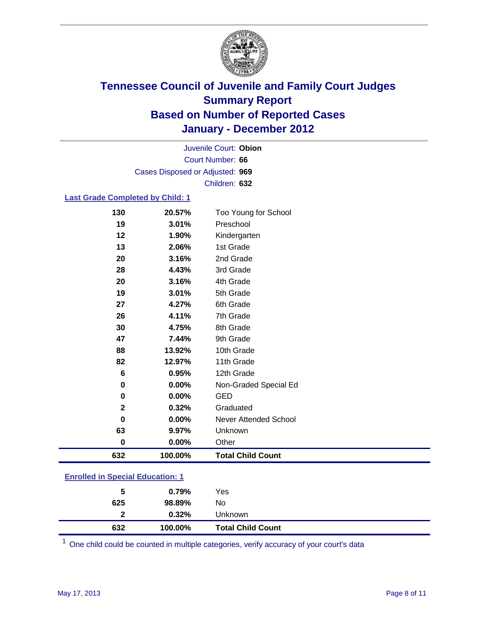

Court Number: **66** Juvenile Court: **Obion** Cases Disposed or Adjusted: **969** Children: **632**

### **Last Grade Completed by Child: 1**

| 130         | 20.57%  | Too Young for School         |
|-------------|---------|------------------------------|
| 19          | 3.01%   | Preschool                    |
| 12          | 1.90%   | Kindergarten                 |
| 13          | 2.06%   | 1st Grade                    |
| 20          | 3.16%   | 2nd Grade                    |
| 28          | 4.43%   | 3rd Grade                    |
| 20          | 3.16%   | 4th Grade                    |
| 19          | 3.01%   | 5th Grade                    |
| 27          | 4.27%   | 6th Grade                    |
| 26          | 4.11%   | 7th Grade                    |
| 30          | 4.75%   | 8th Grade                    |
| 47          | 7.44%   | 9th Grade                    |
| 88          | 13.92%  | 10th Grade                   |
| 82          | 12.97%  | 11th Grade                   |
| 6           | 0.95%   | 12th Grade                   |
| $\pmb{0}$   | 0.00%   | Non-Graded Special Ed        |
| 0           | 0.00%   | <b>GED</b>                   |
| $\mathbf 2$ | 0.32%   | Graduated                    |
| 0           | 0.00%   | <b>Never Attended School</b> |
| 63          | 9.97%   | Unknown                      |
| $\pmb{0}$   | 0.00%   | Other                        |
| 632         | 100.00% | <b>Total Child Count</b>     |
|             |         |                              |

| <b>Enrolled in Special Education: 1</b> |
|-----------------------------------------|
|                                         |

| 5   | 0.79%   | Yes                      |
|-----|---------|--------------------------|
| 625 | 98.89%  | No                       |
| 2   | 0.32%   | Unknown                  |
| 632 | 100.00% | <b>Total Child Count</b> |

One child could be counted in multiple categories, verify accuracy of your court's data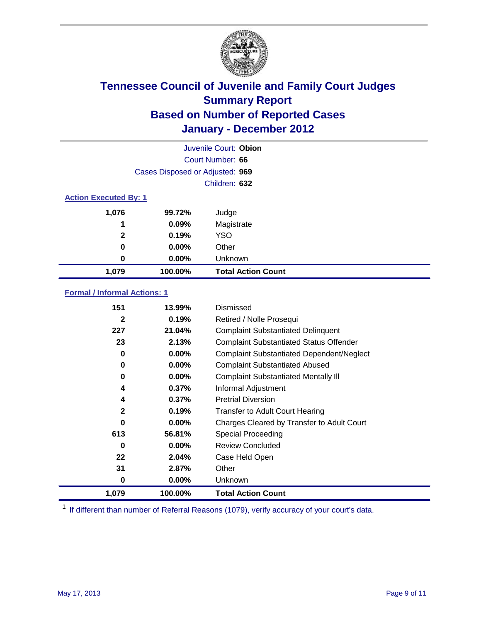

|                              |                                 | Juvenile Court: Obion     |
|------------------------------|---------------------------------|---------------------------|
|                              |                                 | Court Number: 66          |
|                              | Cases Disposed or Adjusted: 969 |                           |
|                              |                                 | Children: 632             |
| <b>Action Executed By: 1</b> |                                 |                           |
| 1,076                        | 99.72%                          | Judge                     |
| 1                            | 0.09%                           | Magistrate                |
| $\mathbf{2}$                 | 0.19%                           | <b>YSO</b>                |
| 0                            | $0.00\%$                        | Other                     |
| 0                            | 0.00%                           | Unknown                   |
| 1,079                        | 100.00%                         | <b>Total Action Count</b> |

### **Formal / Informal Actions: 1**

| 151          | 13.99%   | Dismissed                                        |
|--------------|----------|--------------------------------------------------|
| $\mathbf{2}$ | 0.19%    | Retired / Nolle Prosequi                         |
| 227          | 21.04%   | <b>Complaint Substantiated Delinquent</b>        |
| 23           | 2.13%    | <b>Complaint Substantiated Status Offender</b>   |
| 0            | 0.00%    | <b>Complaint Substantiated Dependent/Neglect</b> |
| 0            | $0.00\%$ | <b>Complaint Substantiated Abused</b>            |
| 0            | $0.00\%$ | <b>Complaint Substantiated Mentally III</b>      |
| 4            | 0.37%    | Informal Adjustment                              |
| 4            | 0.37%    | <b>Pretrial Diversion</b>                        |
| $\mathbf{2}$ | 0.19%    | <b>Transfer to Adult Court Hearing</b>           |
| 0            | 0.00%    | Charges Cleared by Transfer to Adult Court       |
| 613          | 56.81%   | Special Proceeding                               |
| 0            | 0.00%    | <b>Review Concluded</b>                          |
| 22           | 2.04%    | Case Held Open                                   |
| 31           | 2.87%    | Other                                            |
| 0            | $0.00\%$ | Unknown                                          |
| 1,079        | 100.00%  | <b>Total Action Count</b>                        |

<sup>1</sup> If different than number of Referral Reasons (1079), verify accuracy of your court's data.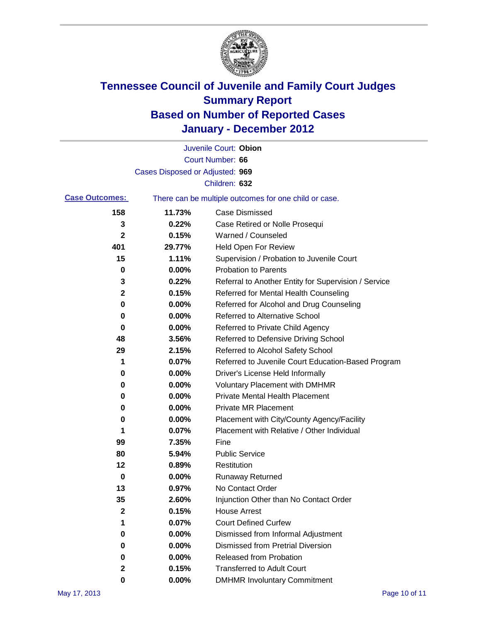

|                       |                                 | Juvenile Court: Obion                                 |
|-----------------------|---------------------------------|-------------------------------------------------------|
|                       |                                 | Court Number: 66                                      |
|                       | Cases Disposed or Adjusted: 969 |                                                       |
|                       |                                 | Children: 632                                         |
| <b>Case Outcomes:</b> |                                 | There can be multiple outcomes for one child or case. |
| 158                   | 11.73%                          | <b>Case Dismissed</b>                                 |
| 3                     | 0.22%                           | Case Retired or Nolle Prosequi                        |
| 2                     | 0.15%                           | Warned / Counseled                                    |
| 401                   | 29.77%                          | <b>Held Open For Review</b>                           |
| 15                    | 1.11%                           | Supervision / Probation to Juvenile Court             |
| 0                     | 0.00%                           | <b>Probation to Parents</b>                           |
| 3                     | 0.22%                           | Referral to Another Entity for Supervision / Service  |
| 2                     | 0.15%                           | Referred for Mental Health Counseling                 |
| 0                     | 0.00%                           | Referred for Alcohol and Drug Counseling              |
| 0                     | 0.00%                           | <b>Referred to Alternative School</b>                 |
| 0                     | 0.00%                           | Referred to Private Child Agency                      |
| 48                    | 3.56%                           | Referred to Defensive Driving School                  |
| 29                    | 2.15%                           | Referred to Alcohol Safety School                     |
| 1                     | 0.07%                           | Referred to Juvenile Court Education-Based Program    |
| 0                     | 0.00%                           | Driver's License Held Informally                      |
| 0                     | 0.00%                           | <b>Voluntary Placement with DMHMR</b>                 |
| 0                     | 0.00%                           | <b>Private Mental Health Placement</b>                |
| 0                     | 0.00%                           | <b>Private MR Placement</b>                           |
| 0                     | 0.00%                           | Placement with City/County Agency/Facility            |
| 1                     | 0.07%                           | Placement with Relative / Other Individual            |
| 99                    | 7.35%                           | Fine                                                  |
| 80                    | 5.94%                           | <b>Public Service</b>                                 |
| 12                    | 0.89%                           | Restitution                                           |
| 0                     | 0.00%                           | <b>Runaway Returned</b>                               |
| 13                    | 0.97%                           | No Contact Order                                      |
| 35                    | 2.60%                           | Injunction Other than No Contact Order                |
| $\mathbf 2$           | 0.15%                           | <b>House Arrest</b>                                   |
| 1                     | 0.07%                           | <b>Court Defined Curfew</b>                           |
| 0                     | 0.00%                           | Dismissed from Informal Adjustment                    |
| 0                     | 0.00%                           | <b>Dismissed from Pretrial Diversion</b>              |
| 0                     | 0.00%                           | Released from Probation                               |
| 2                     | 0.15%                           | <b>Transferred to Adult Court</b>                     |
| 0                     | $0.00\%$                        | <b>DMHMR Involuntary Commitment</b>                   |